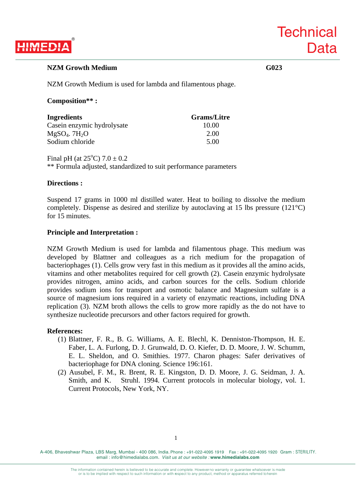# **HIMEDI**

## **NZM Growth Medium G023**

**Technical** 

**Data** 

NZM Growth Medium is used for lambda and filamentous phage.

### **Composition\*\* :**

| <b>Ingredients</b>          | <b>Grams/Litre</b> |
|-----------------------------|--------------------|
| Casein enzymic hydrolysate  | 10.00              |
| $MgSO4$ . 7H <sub>2</sub> O | 2.00               |
| Sodium chloride             | 5.00               |

Final pH (at  $25^{\circ}$ C)  $7.0 \pm 0.2$ \*\* Formula adjusted, standardized to suit performance parameters

### **Directions :**

Suspend 17 grams in 1000 ml distilled water. Heat to boiling to dissolve the medium completely. Dispense as desired and sterilize by autoclaving at 15 lbs pressure  $(121^{\circ}C)$ for 15 minutes.

### **Principle and Interpretation :**

NZM Growth Medium is used for lambda and filamentous phage. This medium was developed by Blattner and colleagues as a rich medium for the propagation of bacteriophages (1). Cells grow very fast in this medium as it provides all the amino acids, vitamins and other metabolites required for cell growth (2). Casein enzymic hydrolysate provides nitrogen, amino acids, and carbon sources for the cells. Sodium chloride provides sodium ions for transport and osmotic balance and Magnesium sulfate is a source of magnesium ions required in a variety of enzymatic reactions, including DNA replication (3). NZM broth allows the cells to grow more rapidly as the do not have to synthesize nucleotide precursors and other factors required for growth.

### **References:**

- (1) Blattner, F. R., B. G. Williams, A. E. Blechl, K. Denniston-Thompson, H. E. Faber, L. A. Furlong, D. J. Grunwald, D. O. Kiefer, D. D. Moore, J. W. Schumm, E. L. Sheldon, and O. Smithies. 1977. Charon phages: Safer derivatives of bacteriophage for DNA cloning. Science 196:161.
- (2) Ausubel, F. M., R. Brent, R. E. Kingston, D. D. Moore, J. G. Seidman, J. A. Smith, and K. Struhl. 1994. Current protocols in molecular biology, vol. 1. Current Protocols, New York, NY.

A-406, Bhaveshwar Plaza, LBS Marg, Mumbai - 400 086, India. Phone : +91-022-4095 1919 Fax : +91-022-4095 1920 Gram : STERILITY. email : info@himedialabs.com. *Visit us at our website :* **www.himedialabs.com**